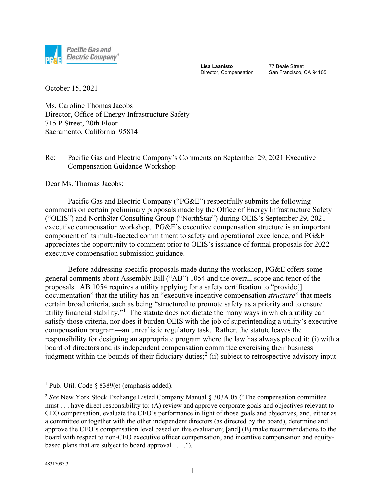

**Lisa Laanisto** Director, Compensation 77 Beale Street San Francisco, CA 94105

October 15, 2021

Ms. Caroline Thomas Jacobs Director, Office of Energy Infrastructure Safety 715 P Street, 20th Floor Sacramento, California 95814

## Re: Pacific Gas and Electric Company's Comments on September 29, 2021 Executive Compensation Guidance Workshop

Dear Ms. Thomas Jacobs:

Pacific Gas and Electric Company ("PG&E") respectfully submits the following comments on certain preliminary proposals made by the Office of Energy Infrastructure Safety ("OEIS") and NorthStar Consulting Group ("NorthStar") during OEIS's September 29, 2021 executive compensation workshop. PG&E's executive compensation structure is an important component of its multi-faceted commitment to safety and operational excellence, and PG&E appreciates the opportunity to comment prior to OEIS's issuance of formal proposals for 2022 executive compensation submission guidance.

Before addressing specific proposals made during the workshop, PG&E offers some general comments about Assembly Bill ("AB") 1054 and the overall scope and tenor of the proposals. AB 1054 requires a utility applying for a safety certification to "provide[] documentation" that the utility has an "executive incentive compensation *structure*" that meets certain broad criteria, such as being "structured to promote safety as a priority and to ensure utility financial stability."<sup>[1](#page-0-0)</sup> The statute does not dictate the many ways in which a utility can satisfy those criteria, nor does it burden OEIS with the job of superintending a utility's executive compensation program—an unrealistic regulatory task. Rather, the statute leaves the responsibility for designing an appropriate program where the law has always placed it: (i) with a board of directors and its independent compensation committee exercising their business judgment within the bounds of their fiduciary duties;<sup>[2](#page-0-1)</sup> (ii) subject to retrospective advisory input

<span id="page-0-0"></span><sup>&</sup>lt;sup>1</sup> Pub. Util. Code § 8389(e) (emphasis added).

<span id="page-0-1"></span><sup>2</sup> *See* New York Stock Exchange Listed Company Manual § 303A.05 ("The compensation committee must . . . have direct responsibility to: (A) review and approve corporate goals and objectives relevant to CEO compensation, evaluate the CEO's performance in light of those goals and objectives, and, either as a committee or together with the other independent directors (as directed by the board), determine and approve the CEO's compensation level based on this evaluation; [and] (B) make recommendations to the board with respect to non-CEO executive officer compensation, and incentive compensation and equitybased plans that are subject to board approval . . . .").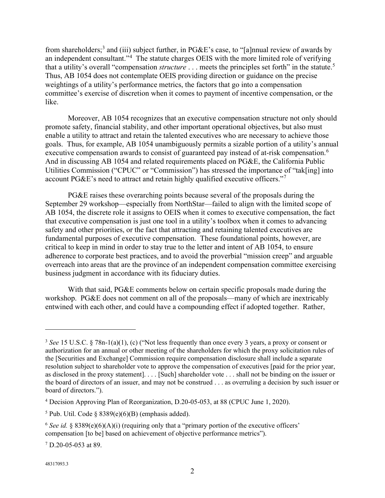from shareholders;<sup>[3](#page-1-0)</sup> and (iii) subject further, in PG&E's case, to "[a]nnual review of awards by an independent consultant."<sup>[4](#page-1-1)</sup> The statute charges OEIS with the more limited role of verifying that a utility's overall "compensation *structure* . . . meets the principles set forth" in the statute. [5](#page-1-2) Thus, AB 1054 does not contemplate OEIS providing direction or guidance on the precise weightings of a utility's performance metrics, the factors that go into a compensation committee's exercise of discretion when it comes to payment of incentive compensation, or the like.

Moreover, AB 1054 recognizes that an executive compensation structure not only should promote safety, financial stability, and other important operational objectives, but also must enable a utility to attract and retain the talented executives who are necessary to achieve those goals. Thus, for example, AB 1054 unambiguously permits a sizable portion of a utility's annual executive compensation awards to consist of guaranteed pay instead of at-risk compensation.<sup>[6](#page-1-3)</sup> And in discussing AB 1054 and related requirements placed on PG&E, the California Public Utilities Commission ("CPUC" or "Commission") has stressed the importance of "tak[ing] into account PG&E's need to attract and retain highly qualified executive officers."<sup>[7](#page-1-4)</sup>

PG&E raises these overarching points because several of the proposals during the September 29 workshop—especially from NorthStar—failed to align with the limited scope of AB 1054, the discrete role it assigns to OEIS when it comes to executive compensation, the fact that executive compensation is just one tool in a utility's toolbox when it comes to advancing safety and other priorities, or the fact that attracting and retaining talented executives are fundamental purposes of executive compensation. These foundational points, however, are critical to keep in mind in order to stay true to the letter and intent of AB 1054, to ensure adherence to corporate best practices, and to avoid the proverbial "mission creep" and arguable overreach into areas that are the province of an independent compensation committee exercising business judgment in accordance with its fiduciary duties.

With that said, PG&E comments below on certain specific proposals made during the workshop. PG&E does not comment on all of the proposals—many of which are inextricably entwined with each other, and could have a compounding effect if adopted together. Rather,

<span id="page-1-0"></span><sup>3</sup> *See* 15 U.S.C. § 78n-1(a)(1), (c) ("Not less frequently than once every 3 years, a proxy or consent or authorization for an annual or other meeting of the shareholders for which the proxy solicitation rules of the [Securities and Exchange] Commission require compensation disclosure shall include a separate resolution subject to shareholder vote to approve the compensation of executives [paid for the prior year, as disclosed in the proxy statement]. . . . [Such] shareholder vote . . . shall not be binding on the issuer or the board of directors of an issuer, and may not be construed . . . as overruling a decision by such issuer or board of directors.").

<span id="page-1-1"></span><sup>4</sup> Decision Approving Plan of Reorganization, D.20-05-053, at 88 (CPUC June 1, 2020).

<span id="page-1-2"></span> $5$  Pub. Util. Code § 8389(e)(6)(B) (emphasis added).

<span id="page-1-3"></span><sup>&</sup>lt;sup>6</sup> *See id.* § 8389(e)(6)(A)(i) (requiring only that a "primary portion of the executive officers' compensation [to be] based on achievement of objective performance metrics").

<span id="page-1-4"></span><sup>7</sup> D.20-05-053 at 89.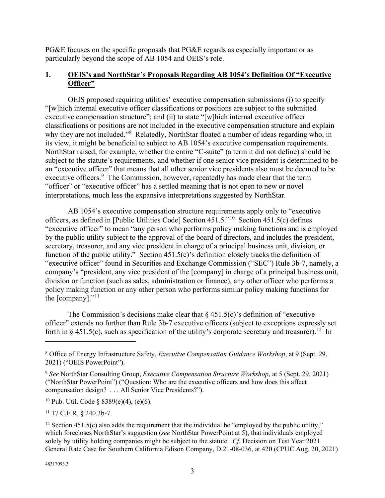PG&E focuses on the specific proposals that PG&E regards as especially important or as particularly beyond the scope of AB 1054 and OEIS's role.

# **1. OEIS's and NorthStar's Proposals Regarding AB 1054's Definition Of "Executive Officer"**

OEIS proposed requiring utilities' executive compensation submissions (i) to specify "[w]hich internal executive officer classifications or positions are subject to the submitted executive compensation structure"; and (ii) to state "[w]hich internal executive officer classifications or positions are not included in the executive compensation structure and explain why they are not included."<sup>[8](#page-2-0)</sup> Relatedly, NorthStar floated a number of ideas regarding who, in its view, it might be beneficial to subject to AB 1054's executive compensation requirements. NorthStar raised, for example, whether the entire "C-suite" (a term it did not define) should be subject to the statute's requirements, and whether if one senior vice president is determined to be an "executive officer" that means that all other senior vice presidents also must be deemed to be executive officers.<sup>[9](#page-2-1)</sup> The Commission, however, repeatedly has made clear that the term "officer" or "executive officer" has a settled meaning that is not open to new or novel interpretations, much less the expansive interpretations suggested by NorthStar.

AB 1054's executive compensation structure requirements apply only to "executive officers, as defined in [Public Utilities Code] Section 451.5."[10](#page-2-2) Section 451.5(c) defines "executive officer" to mean "any person who performs policy making functions and is employed by the public utility subject to the approval of the board of directors, and includes the president, secretary, treasurer, and any vice president in charge of a principal business unit, division, or function of the public utility." Section 451.5(c)'s definition closely tracks the definition of "executive officer" found in Securities and Exchange Commission ("SEC") Rule 3b-7, namely, a company's "president, any vice president of the [company] in charge of a principal business unit, division or function (such as sales, administration or finance), any other officer who performs a policy making function or any other person who performs similar policy making functions for the  $[company].$ <sup>"[11](#page-2-3)</sup>

The Commission's decisions make clear that  $\S$  451.5(c)'s definition of "executive" officer" extends no further than Rule 3b-7 executive officers (subject to exceptions expressly set forth in § 451.5(c), such as specification of the utility's corporate secretary and treasurer).<sup>12</sup> In

<span id="page-2-2"></span><sup>10</sup> Pub. Util. Code § 8389(e)(4), (e)(6).

<span id="page-2-3"></span><sup>11</sup> 17 C.F.R. § 240.3b-7.

<span id="page-2-0"></span><sup>8</sup> Office of Energy Infrastructure Safety, *Executive Compensation Guidance Workshop*, at 9 (Sept. 29, 2021) ("OEIS PowerPoint").

<span id="page-2-1"></span><sup>9</sup> *See* NorthStar Consulting Group, *Executive Compensation Structure Workshop*, at 5 (Sept. 29, 2021) ("NorthStar PowerPoint") ("Question: Who are the executive officers and how does this affect compensation design? . . . All Senior Vice Presidents?").

<span id="page-2-4"></span> $12$  Section 451.5(c) also adds the requirement that the individual be "employed by the public utility," which forecloses NorthStar's suggestion (*see* NorthStar PowerPoint at 5), that individuals employed solely by utility holding companies might be subject to the statute. *Cf.* Decision on Test Year 2021 General Rate Case for Southern California Edison Company, D.21-08-036, at 420 (CPUC Aug. 20, 2021)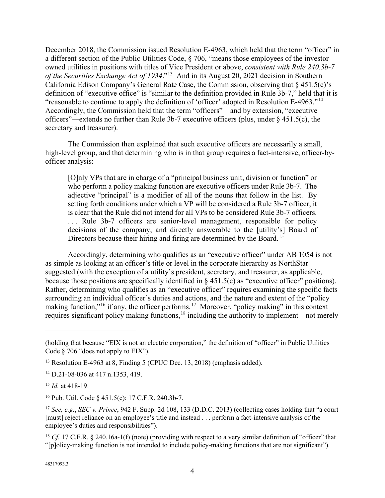December 2018, the Commission issued Resolution E-4963, which held that the term "officer" in a different section of the Public Utilities Code, § 706, "means those employees of the investor owned utilities in positions with titles of Vice President or above, *consistent with Rule 240.3b-7 of the Securities Exchange Act of 1934*."[13](#page-3-0) And in its August 20, 2021 decision in Southern California Edison Company's General Rate Case, the Commission, observing that § 451.5(c)'s definition of "executive office" is "similar to the definition provided in Rule 3b-7," held that it is "reasonable to continue to apply the definition of 'officer' adopted in Resolution E-4963."<sup>[14](#page-3-1)</sup> Accordingly, the Commission held that the term "officers"—and by extension, "executive officers"—extends no further than Rule 3b-7 executive officers (plus, under § 451.5(c), the secretary and treasurer).

The Commission then explained that such executive officers are necessarily a small, high-level group, and that determining who is in that group requires a fact-intensive, officer-byofficer analysis:

[O]nly VPs that are in charge of a "principal business unit, division or function" or who perform a policy making function are executive officers under Rule 3b-7. The adjective "principal" is a modifier of all of the nouns that follow in the list. By setting forth conditions under which a VP will be considered a Rule 3b-7 officer, it is clear that the Rule did not intend for all VPs to be considered Rule 3b-7 officers. ... Rule 3b-7 officers are senior-level management, responsible for policy decisions of the company, and directly answerable to the [utility's] Board of Directors because their hiring and firing are determined by the Board.<sup>[15](#page-3-2)</sup>

Accordingly, determining who qualifies as an "executive officer" under AB 1054 is not as simple as looking at an officer's title or level in the corporate hierarchy as NorthStar suggested (with the exception of a utility's president, secretary, and treasurer, as applicable, because those positions are specifically identified in  $\S$  451.5(c) as "executive officer" positions). Rather, determining who qualifies as an "executive officer" requires examining the specific facts surrounding an individual officer's duties and actions, and the nature and extent of the "policy making function,"<sup>[16](#page-3-3)</sup> if any, the officer performs.<sup>[17](#page-3-4)</sup> Moreover, "policy making" in this context requires significant policy making functions,<sup>[18](#page-3-5)</sup> including the authority to implement—not merely

<sup>(</sup>holding that because "EIX is not an electric corporation," the definition of "officer" in Public Utilities Code § 706 "does not apply to EIX").

<span id="page-3-0"></span><sup>&</sup>lt;sup>13</sup> Resolution E-4963 at 8, Finding 5 (CPUC Dec. 13, 2018) (emphasis added).

<span id="page-3-1"></span><sup>14</sup> D.21-08-036 at 417 n.1353, 419.

<span id="page-3-2"></span><sup>15</sup> *Id.* at 418-19.

<span id="page-3-3"></span><sup>16</sup> Pub. Util. Code § 451.5(c); 17 C.F.R. 240.3b-7.

<span id="page-3-4"></span><sup>17</sup> *See, e.g.*, *SEC v. Prince*, 942 F. Supp. 2d 108, 133 (D.D.C. 2013) (collecting cases holding that "a court [must] reject reliance on an employee's title and instead . . . perform a fact-intensive analysis of the employee's duties and responsibilities").

<span id="page-3-5"></span><sup>&</sup>lt;sup>18</sup> *Cf.* 17 C.F.R. § 240.16a-1(f) (note) (providing with respect to a very similar definition of "officer" that "[p]olicy-making function is not intended to include policy-making functions that are not significant").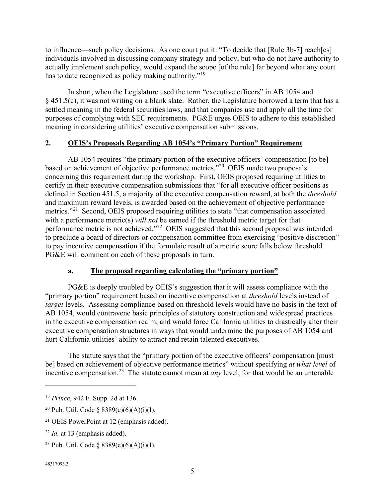to influence—such policy decisions. As one court put it: "To decide that [Rule 3b-7] reach[es] individuals involved in discussing company strategy and policy, but who do not have authority to actually implement such policy, would expand the scope [of the rule] far beyond what any court has to date recognized as policy making authority."<sup>[19](#page-4-0)</sup>

In short, when the Legislature used the term "executive officers" in AB 1054 and § 451.5(c), it was not writing on a blank slate. Rather, the Legislature borrowed a term that has a settled meaning in the federal securities laws, and that companies use and apply all the time for purposes of complying with SEC requirements. PG&E urges OEIS to adhere to this established meaning in considering utilities' executive compensation submissions.

# **2. OEIS's Proposals Regarding AB 1054's "Primary Portion" Requirement**

AB 1054 requires "the primary portion of the executive officers' compensation [to be] based on achievement of objective performance metrics."[20](#page-4-1) OEIS made two proposals concerning this requirement during the workshop. First, OEIS proposed requiring utilities to certify in their executive compensation submissions that "for all executive officer positions as defined in Section 451.5, a majority of the executive compensation reward, at both the *threshold* and maximum reward levels, is awarded based on the achievement of objective performance metrics."<sup>[21](#page-4-2)</sup> Second, OEIS proposed requiring utilities to state "that compensation associated with a performance metric(s) *will not* be earned if the threshold metric target for that performance metric is not achieved."[22](#page-4-3) OEIS suggested that this second proposal was intended to preclude a board of directors or compensation committee from exercising "positive discretion" to pay incentive compensation if the formulaic result of a metric score falls below threshold. PG&E will comment on each of these proposals in turn.

# **a. The proposal regarding calculating the "primary portion"**

PG&E is deeply troubled by OEIS's suggestion that it will assess compliance with the "primary portion" requirement based on incentive compensation at *threshold* levels instead of *target* levels. Assessing compliance based on threshold levels would have no basis in the text of AB 1054, would contravene basic principles of statutory construction and widespread practices in the executive compensation realm, and would force California utilities to drastically alter their executive compensation structures in ways that would undermine the purposes of AB 1054 and hurt California utilities' ability to attract and retain talented executives.

The statute says that the "primary portion of the executive officers' compensation [must be] based on achievement of objective performance metrics" without specifying *at what level* of incentive compensation.[23](#page-4-4) The statute cannot mean at *any* level, for that would be an untenable

<span id="page-4-4"></span><sup>23</sup> Pub. Util. Code § 8389(e)(6)(A)(i)(I).

#### 48317093.3

<span id="page-4-0"></span><sup>19</sup> *Prince*, 942 F. Supp. 2d at 136.

<span id="page-4-1"></span><sup>&</sup>lt;sup>20</sup> Pub. Util. Code § 8389(e)(6)(A)(i)(I).

<span id="page-4-2"></span><sup>21</sup> OEIS PowerPoint at 12 (emphasis added).

<span id="page-4-3"></span><sup>22</sup> *Id.* at 13 (emphasis added).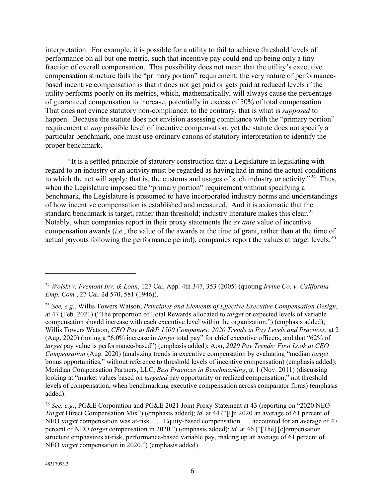interpretation. For example, it is possible for a utility to fail to achieve threshold levels of performance on all but one metric, such that incentive pay could end up being only a tiny fraction of overall compensation. That possibility does not mean that the utility's executive compensation structure fails the "primary portion" requirement; the very nature of performancebased incentive compensation is that it does not get paid or gets paid at reduced levels if the utility performs poorly on its metrics, which, mathematically, will always cause the percentage of guaranteed compensation to increase, potentially in excess of 50% of total compensation. That does not evince statutory non-compliance; to the contrary, that is what is *supposed* to happen. Because the statute does not envision assessing compliance with the "primary portion" requirement at *any* possible level of incentive compensation, yet the statute does not specify a particular benchmark, one must use ordinary canons of statutory interpretation to identify the proper benchmark.

"It is a settled principle of statutory construction that a Legislature in legislating with regard to an industry or an activity must be regarded as having had in mind the actual conditions to which the act will apply; that is, the customs and usages of such industry or activity."<sup>[24](#page-5-0)</sup> Thus, when the Legislature imposed the "primary portion" requirement without specifying a benchmark, the Legislature is presumed to have incorporated industry norms and understandings of how incentive compensation is established and measured. And it is axiomatic that the standard benchmark is target, rather than threshold; industry literature makes this clear.<sup>[25](#page-5-1)</sup> Notably, when companies report in their proxy statements the *ex ante* value of incentive compensation awards (*i.e.*, the value of the awards at the time of grant, rather than at the time of actual payouts following the performance period), companies report the values at target levels.<sup>[26](#page-5-2)</sup>

<span id="page-5-0"></span><sup>24</sup> *Wolski v. Fremont Inv. & Loan*, 127 Cal. App. 4th 347, 353 (2005) (quoting *Irvine Co. v. California Emp. Com.*, 27 Cal. 2d 570, 581 (1946)).

<span id="page-5-1"></span><sup>25</sup> *See, e.g.*, Willis Towers Watson, *Principles and Elements of Effective Executive Compensation Design*, at 47 (Feb. 2021) ("The proportion of Total Rewards allocated to *target* or expected levels of variable compensation should increase with each executive level within the organization.") (emphasis added); Willis Towers Watson, *CEO Pay at S&P 1500 Companies: 2020 Trends in Pay Levels and Practices*, at 2 (Aug. 2020) (noting a "6.0% increase in *target* total pay" for chief executive officers, and that "62% of *target* pay value is performance-based") (emphasis added); Aon, *2020 Pay Trends: First Look at CEO Compensation* (Aug. 2020) (analyzing trends in executive compensation by evaluating "median *target* bonus opportunities," without reference to threshold levels of incentive compensation) (emphasis added); Meridian Compensation Partners, LLC, *Best Practices in Benchmarking*, at 1 (Nov. 2011) (discussing looking at "market values based on *targeted* pay opportunity or realized compensation," not threshold levels of compensation, when benchmarking executive compensation across comparator firms) (emphasis added).

<span id="page-5-2"></span><sup>26</sup> *See, e.g.*, PG&E Corporation and PG&E 2021 Joint Proxy Statement at 43 (reporting on "2020 NEO *Target* Direct Compensation Mix") (emphasis added); *id.* at 44 ("[I]n 2020 an average of 61 percent of NEO *target* compensation was at-risk. . . . Equity-based compensation . . . accounted for an average of 47 percent of NEO *target* compensation in 2020.") (emphasis added); *id.* at 46 ("[The] [c]ompensation structure emphasizes at-risk, performance-based variable pay, making up an average of 61 percent of NEO *target* compensation in 2020.") (emphasis added).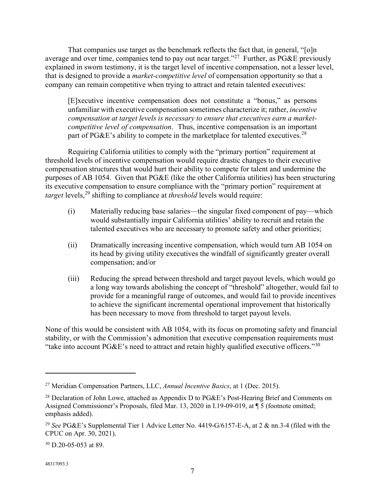That companies use target as the benchmark reflects the fact that, in general, "[o]n average and over time, companies tend to pay out near target."<sup>[27](#page-6-0)</sup> Further, as PG&E previously explained in sworn testimony, it is the target level of incentive compensation, not a lesser level, that is designed to provide a *market-competitive level* of compensation opportunity so that a company can remain competitive when trying to attract and retain talented executives:

[E]xecutive incentive compensation does not constitute a "bonus," as persons unfamiliar with executive compensation sometimes characterize it; rather, *incentive compensation at target levels is necessary to ensure that executives earn a marketcompetitive level of compensation*. Thus, incentive compensation is an important part of PG&E's ability to compete in the marketplace for talented executives.<sup>[28](#page-6-1)</sup>

Requiring California utilities to comply with the "primary portion" requirement at threshold levels of incentive compensation would require drastic changes to their executive compensation structures that would hurt their ability to compete for talent and undermine the purposes of AB 1054. Given that PG&E (like the other California utilities) has been structuring its executive compensation to ensure compliance with the "primary portion" requirement at *target* levels,<sup>[29](#page-6-2)</sup> shifting to compliance at *threshold* levels would require:

- (i) Materially reducing base salaries—the singular fixed component of pay—which would substantially impair California utilities' ability to recruit and retain the talented executives who are necessary to promote safety and other priorities;
- (ii) Dramatically increasing incentive compensation, which would turn AB 1054 on its head by giving utility executives the windfall of significantly greater overall compensation; and/or
- (iii) Reducing the spread between threshold and target payout levels, which would go a long way towards abolishing the concept of "threshold" altogether, would fail to provide for a meaningful range of outcomes, and would fail to provide incentives to achieve the significant incremental operational improvement that historically has been necessary to move from threshold to target payout levels.

None of this would be consistent with AB 1054, with its focus on promoting safety and financial stability, or with the Commission's admonition that executive compensation requirements must "take into account PG&E's need to attract and retain highly qualified executive officers."<sup>[30](#page-6-3)</sup>

<span id="page-6-0"></span><sup>27</sup> Meridian Compensation Partners, LLC, *Annual Incentive Basics*, at 1 (Dec. 2015).

<span id="page-6-1"></span><sup>&</sup>lt;sup>28</sup> Declaration of John Lowe, attached as Appendix D to PG&E's Post-Hearing Brief and Comments on Assigned Commissioner's Proposals, filed Mar. 13, 2020 in I.19-09-019, at ¶ 5 (footnote omitted; emphasis added).

<span id="page-6-2"></span><sup>29</sup> *See* PG&E's Supplemental Tier 1 Advice Letter No. 4419-G/6157-E-A, at 2 & nn.3-4 (filed with the CPUC on Apr. 30, 2021).

<span id="page-6-3"></span><sup>30</sup> D.20-05-053 at 89.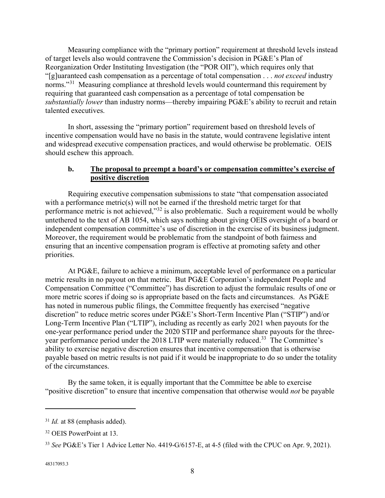Measuring compliance with the "primary portion" requirement at threshold levels instead of target levels also would contravene the Commission's decision in PG&E's Plan of Reorganization Order Instituting Investigation (the "POR OII"), which requires only that "[g]uaranteed cash compensation as a percentage of total compensation . . . *not exceed* industry norms."<sup>31</sup> Measuring compliance at threshold levels would countermand this requirement by requiring that guaranteed cash compensation as a percentage of total compensation be *substantially lower* than industry norms—thereby impairing PG&E's ability to recruit and retain talented executives.

In short, assessing the "primary portion" requirement based on threshold levels of incentive compensation would have no basis in the statute, would contravene legislative intent and widespread executive compensation practices, and would otherwise be problematic. OEIS should eschew this approach.

#### **b. The proposal to preempt a board's or compensation committee's exercise of positive discretion**

Requiring executive compensation submissions to state "that compensation associated with a performance metric(s) will not be earned if the threshold metric target for that performance metric is not achieved,"[32](#page-7-1) is also problematic. Such a requirement would be wholly untethered to the text of AB 1054, which says nothing about giving OEIS oversight of a board or independent compensation committee's use of discretion in the exercise of its business judgment. Moreover, the requirement would be problematic from the standpoint of both fairness and ensuring that an incentive compensation program is effective at promoting safety and other priorities.

At PG&E, failure to achieve a minimum, acceptable level of performance on a particular metric results in no payout on that metric. But PG&E Corporation's independent People and Compensation Committee ("Committee") has discretion to adjust the formulaic results of one or more metric scores if doing so is appropriate based on the facts and circumstances. As PG&E has noted in numerous public filings, the Committee frequently has exercised "negative discretion" to reduce metric scores under PG&E's Short-Term Incentive Plan ("STIP") and/or Long-Term Incentive Plan ("LTIP"), including as recently as early 2021 when payouts for the one-year performance period under the 2020 STIP and performance share payouts for the threeyear performance period under the 2018 LTIP were materially reduced.<sup>33</sup> The Committee's ability to exercise negative discretion ensures that incentive compensation that is otherwise payable based on metric results is not paid if it would be inappropriate to do so under the totality of the circumstances.

By the same token, it is equally important that the Committee be able to exercise "positive discretion" to ensure that incentive compensation that otherwise would *not* be payable

<span id="page-7-0"></span><sup>&</sup>lt;sup>31</sup> *Id.* at 88 (emphasis added).

<span id="page-7-1"></span><sup>32</sup> OEIS PowerPoint at 13.

<span id="page-7-2"></span><sup>33</sup> *See* PG&E's Tier 1 Advice Letter No. 4419-G/6157-E, at 4-5 (filed with the CPUC on Apr. 9, 2021).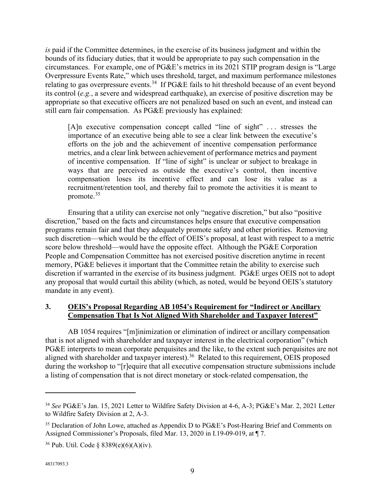*is* paid if the Committee determines, in the exercise of its business judgment and within the bounds of its fiduciary duties, that it would be appropriate to pay such compensation in the circumstances. For example, one of PG&E's metrics in its 2021 STIP program design is "Large Overpressure Events Rate," which uses threshold, target, and maximum performance milestones relating to gas overpressure events.<sup>[34](#page-8-0)</sup> If PG&E fails to hit threshold because of an event beyond its control (*e.g.*, a severe and widespread earthquake), an exercise of positive discretion may be appropriate so that executive officers are not penalized based on such an event, and instead can still earn fair compensation. As PG&E previously has explained:

[A]n executive compensation concept called "line of sight" . . . stresses the importance of an executive being able to see a clear link between the executive's efforts on the job and the achievement of incentive compensation performance metrics, and a clear link between achievement of performance metrics and payment of incentive compensation. If "line of sight" is unclear or subject to breakage in ways that are perceived as outside the executive's control, then incentive compensation loses its incentive effect and can lose its value as a recruitment/retention tool, and thereby fail to promote the activities it is meant to promote.[35](#page-8-1)

Ensuring that a utility can exercise not only "negative discretion," but also "positive discretion," based on the facts and circumstances helps ensure that executive compensation programs remain fair and that they adequately promote safety and other priorities. Removing such discretion—which would be the effect of OEIS's proposal, at least with respect to a metric score below threshold—would have the opposite effect. Although the PG&E Corporation People and Compensation Committee has not exercised positive discretion anytime in recent memory, PG&E believes it important that the Committee retain the ability to exercise such discretion if warranted in the exercise of its business judgment. PG&E urges OEIS not to adopt any proposal that would curtail this ability (which, as noted, would be beyond OEIS's statutory mandate in any event).

# **3. OEIS's Proposal Regarding AB 1054's Requirement for "Indirect or Ancillary Compensation That Is Not Aligned With Shareholder and Taxpayer Interest"**

AB 1054 requires "[m]inimization or elimination of indirect or ancillary compensation that is not aligned with shareholder and taxpayer interest in the electrical corporation" (which PG&E interprets to mean corporate perquisites and the like, to the extent such perquisites are not aligned with shareholder and taxpayer interest).<sup>[36](#page-8-2)</sup> Related to this requirement, OEIS proposed during the workshop to "[r]equire that all executive compensation structure submissions include a listing of compensation that is not direct monetary or stock-related compensation, the

<span id="page-8-0"></span><sup>34</sup> *See* PG&E's Jan. 15, 2021 Letter to Wildfire Safety Division at 4-6, A-3; PG&E's Mar. 2, 2021 Letter to Wildfire Safety Division at 2, A-3.

<span id="page-8-1"></span><sup>&</sup>lt;sup>35</sup> Declaration of John Lowe, attached as Appendix D to PG&E's Post-Hearing Brief and Comments on Assigned Commissioner's Proposals, filed Mar. 13, 2020 in I.19-09-019, at ¶ 7.

<span id="page-8-2"></span><sup>&</sup>lt;sup>36</sup> Pub. Util. Code § 8389(e)(6)(A)(iv).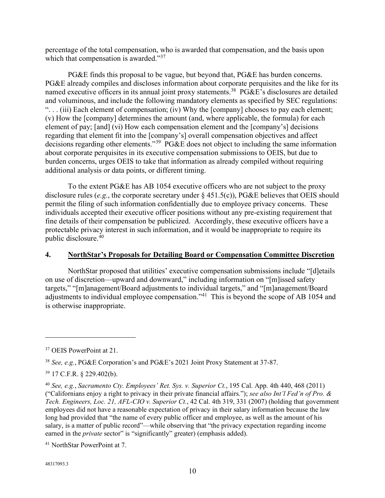percentage of the total compensation, who is awarded that compensation, and the basis upon which that compensation is awarded."<sup>[37](#page-9-0)</sup>

PG&E finds this proposal to be vague, but beyond that, PG&E has burden concerns. PG&E already compiles and discloses information about corporate perquisites and the like for its named executive officers in its annual joint proxy statements.<sup>[38](#page-9-1)</sup> PG&E's disclosures are detailed and voluminous, and include the following mandatory elements as specified by SEC regulations: ". . . (iii) Each element of compensation; (iv) Why the [company] chooses to pay each element; (v) How the [company] determines the amount (and, where applicable, the formula) for each element of pay; [and] (vi) How each compensation element and the [company's] decisions regarding that element fit into the [company's] overall compensation objectives and affect decisions regarding other elements."[39](#page-9-2) PG&E does not object to including the same information about corporate perquisites in its executive compensation submissions to OEIS, but due to burden concerns, urges OEIS to take that information as already compiled without requiring additional analysis or data points, or different timing.

To the extent PG&E has AB 1054 executive officers who are not subject to the proxy disclosure rules (*e.g.*, the corporate secretary under § 451.5(c)), PG&E believes that OEIS should permit the filing of such information confidentially due to employee privacy concerns. These individuals accepted their executive officer positions without any pre-existing requirement that fine details of their compensation be publicized. Accordingly, these executive officers have a protectable privacy interest in such information, and it would be inappropriate to require its public disclosure.[40](#page-9-3)

#### **4. NorthStar's Proposals for Detailing Board or Compensation Committee Discretion**

NorthStar proposed that utilities' executive compensation submissions include "[d]etails on use of discretion—upward and downward," including information on "[m]issed safety targets," "[m]anagement/Board adjustments to individual targets," and "[m]anagement/Board adjustments to individual employee compensation."[41](#page-9-4) This is beyond the scope of AB 1054 and is otherwise inappropriate.

<span id="page-9-0"></span><sup>&</sup>lt;sup>37</sup> OEIS PowerPoint at 21.

<span id="page-9-1"></span><sup>38</sup> *See, e.g.*, PG&E Corporation's and PG&E's 2021 Joint Proxy Statement at 37-87.

<span id="page-9-2"></span><sup>39</sup> 17 C.F.R. § 229.402(b).

<span id="page-9-3"></span><sup>40</sup> *See, e.g.*, *Sacramento Cty. Employees' Ret. Sys. v. Superior Ct.*, 195 Cal. App. 4th 440, 468 (2011) ("Californians enjoy a right to privacy in their private financial affairs."); *see also Int'l Fed'n of Pro. & Tech. Engineers, Loc. 21, AFL-CIO v. Superior Ct.*, 42 Cal. 4th 319, 331 (2007) (holding that government employees did not have a reasonable expectation of privacy in their salary information because the law long had provided that "the name of every public officer and employee, as well as the amount of his salary, is a matter of public record"—while observing that "the privacy expectation regarding income earned in the *private* sector" is "significantly" greater) (emphasis added).

<span id="page-9-4"></span><sup>41</sup> NorthStar PowerPoint at 7.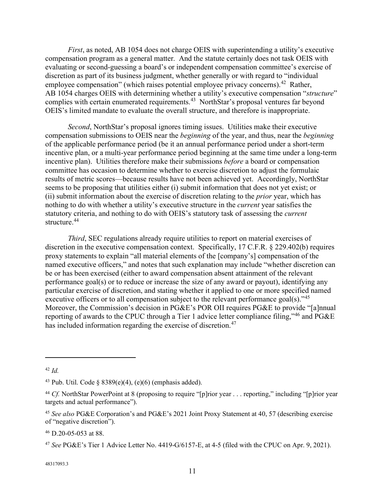*First*, as noted, AB 1054 does not charge OEIS with superintending a utility's executive compensation program as a general matter. And the statute certainly does not task OEIS with evaluating or second-guessing a board's or independent compensation committee's exercise of discretion as part of its business judgment, whether generally or with regard to "individual employee compensation" (which raises potential employee privacy concerns).<sup>[42](#page-10-0)</sup> Rather, AB 1054 charges OEIS with determining whether a utility's executive compensation "*structure*" complies with certain enumerated requirements.[43](#page-10-1) NorthStar's proposal ventures far beyond OEIS's limited mandate to evaluate the overall structure, and therefore is inappropriate.

*Second*, NorthStar's proposal ignores timing issues. Utilities make their executive compensation submissions to OEIS near the *beginning* of the year, and thus, near the *beginning* of the applicable performance period (be it an annual performance period under a short-term incentive plan, or a multi-year performance period beginning at the same time under a long-term incentive plan). Utilities therefore make their submissions *before* a board or compensation committee has occasion to determine whether to exercise discretion to adjust the formulaic results of metric scores—because results have not been achieved yet. Accordingly, NorthStar seems to be proposing that utilities either (i) submit information that does not yet exist; or (ii) submit information about the exercise of discretion relating to the *prior* year, which has nothing to do with whether a utility's executive structure in the *current* year satisfies the statutory criteria, and nothing to do with OEIS's statutory task of assessing the *current* structure. [44](#page-10-2)

*Third*, SEC regulations already require utilities to report on material exercises of discretion in the executive compensation context. Specifically, 17 C.F.R. § 229.402(b) requires proxy statements to explain "all material elements of the [company's] compensation of the named executive officers," and notes that such explanation may include "whether discretion can be or has been exercised (either to award compensation absent attainment of the relevant performance goal(s) or to reduce or increase the size of any award or payout), identifying any particular exercise of discretion, and stating whether it applied to one or more specified named executive officers or to all compensation subject to the relevant performance goal(s)."<sup>[45](#page-10-3)</sup> Moreover, the Commission's decision in PG&E's POR OII requires PG&E to provide "[a]nnual reporting of awards to the CPUC through a Tier 1 advice letter compliance filing,"[46](#page-10-4) and PG&E has included information regarding the exercise of discretion.<sup>47</sup>

<span id="page-10-4"></span><sup>46</sup> D.20-05-053 at 88.

48317093.3

<span id="page-10-0"></span><sup>42</sup> *Id.*

<span id="page-10-1"></span><sup>&</sup>lt;sup>43</sup> Pub. Util. Code  $\frac{8389(e)(4)}{e(6)}$  (emphasis added).

<span id="page-10-2"></span><sup>&</sup>lt;sup>44</sup> *Cf.* NorthStar PowerPoint at 8 (proposing to require "[p]rior year . . . reporting," including "[p]rior year targets and actual performance").

<span id="page-10-3"></span><sup>45</sup> *See also* PG&E Corporation's and PG&E's 2021 Joint Proxy Statement at 40, 57 (describing exercise of "negative discretion").

<span id="page-10-5"></span><sup>47</sup> *See* PG&E's Tier 1 Advice Letter No. 4419-G/6157-E, at 4-5 (filed with the CPUC on Apr. 9, 2021).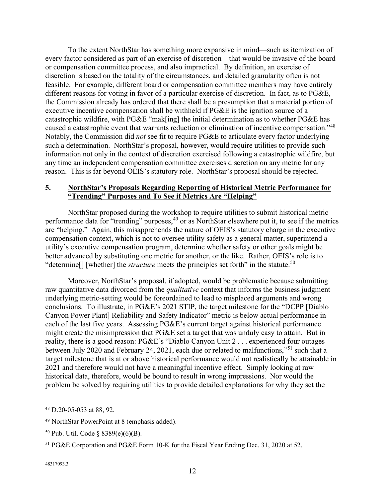To the extent NorthStar has something more expansive in mind—such as itemization of every factor considered as part of an exercise of discretion—that would be invasive of the board or compensation committee process, and also impractical. By definition, an exercise of discretion is based on the totality of the circumstances, and detailed granularity often is not feasible. For example, different board or compensation committee members may have entirely different reasons for voting in favor of a particular exercise of discretion. In fact, as to PG&E, the Commission already has ordered that there shall be a presumption that a material portion of executive incentive compensation shall be withheld if PG&E is the ignition source of a catastrophic wildfire, with PG&E "mak[ing] the initial determination as to whether PG&E has caused a catastrophic event that warrants reduction or elimination of incentive compensation."[48](#page-11-0) Notably, the Commission did *not* see fit to require PG&E to articulate every factor underlying such a determination. NorthStar's proposal, however, would require utilities to provide such information not only in the context of discretion exercised following a catastrophic wildfire, but any time an independent compensation committee exercises discretion on any metric for any reason. This is far beyond OEIS's statutory role. NorthStar's proposal should be rejected.

## **5. NorthStar's Proposals Regarding Reporting of Historical Metric Performance for "Trending" Purposes and To See if Metrics Are "Helping"**

NorthStar proposed during the workshop to require utilities to submit historical metric performance data for "trending" purposes,<sup>[49](#page-11-1)</sup> or as NorthStar elsewhere put it, to see if the metrics are "helping." Again, this misapprehends the nature of OEIS's statutory charge in the executive compensation context, which is not to oversee utility safety as a general matter, superintend a utility's executive compensation program, determine whether safety or other goals might be better advanced by substituting one metric for another, or the like. Rather, OEIS's role is to "determine<sup>[]</sup> [whether] the *structure* meets the principles set forth" in the statute.<sup>[50](#page-11-2)</sup>

Moreover, NorthStar's proposal, if adopted, would be problematic because submitting raw quantitative data divorced from the *qualitative* context that informs the business judgment underlying metric-setting would be foreordained to lead to misplaced arguments and wrong conclusions. To illustrate, in PG&E's 2021 STIP, the target milestone for the "DCPP [Diablo Canyon Power Plant] Reliability and Safety Indicator" metric is below actual performance in each of the last five years. Assessing PG&E's current target against historical performance might create the misimpression that PG&E set a target that was unduly easy to attain. But in reality, there is a good reason: PG&E's "Diablo Canyon Unit 2 . . . experienced four outages between July 2020 and February 24, 2021, each due or related to malfunctions,"[51](#page-11-3) such that a target milestone that is at or above historical performance would not realistically be attainable in 2021 and therefore would not have a meaningful incentive effect. Simply looking at raw historical data, therefore, would be bound to result in wrong impressions. Nor would the problem be solved by requiring utilities to provide detailed explanations for why they set the

<span id="page-11-0"></span><sup>48</sup> D.20-05-053 at 88, 92.

<span id="page-11-1"></span><sup>49</sup> NorthStar PowerPoint at 8 (emphasis added).

<span id="page-11-2"></span><sup>50</sup> Pub. Util. Code § 8389(e)(6)(B).

<span id="page-11-3"></span><sup>51</sup> PG&E Corporation and PG&E Form 10-K for the Fiscal Year Ending Dec. 31, 2020 at 52.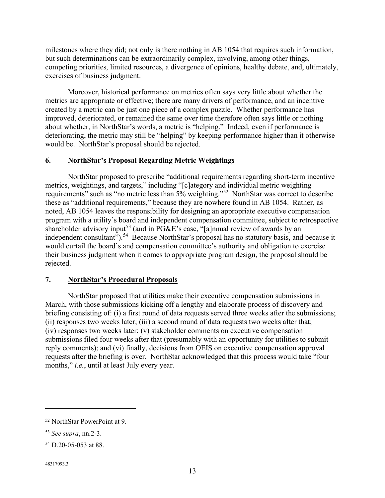milestones where they did; not only is there nothing in AB 1054 that requires such information, but such determinations can be extraordinarily complex, involving, among other things, competing priorities, limited resources, a divergence of opinions, healthy debate, and, ultimately, exercises of business judgment.

Moreover, historical performance on metrics often says very little about whether the metrics are appropriate or effective; there are many drivers of performance, and an incentive created by a metric can be just one piece of a complex puzzle. Whether performance has improved, deteriorated, or remained the same over time therefore often says little or nothing about whether, in NorthStar's words, a metric is "helping." Indeed, even if performance is deteriorating, the metric may still be "helping" by keeping performance higher than it otherwise would be. NorthStar's proposal should be rejected.

## **6. NorthStar's Proposal Regarding Metric Weightings**

NorthStar proposed to prescribe "additional requirements regarding short-term incentive metrics, weightings, and targets," including "[c]ategory and individual metric weighting requirements" such as "no metric less than 5% weighting."[52](#page-12-0) NorthStar was correct to describe these as "additional requirements," because they are nowhere found in AB 1054. Rather, as noted, AB 1054 leaves the responsibility for designing an appropriate executive compensation program with a utility's board and independent compensation committee, subject to retrospective shareholder advisory input<sup>[53](#page-12-1)</sup> (and in PG&E's case, "[a]nnual review of awards by an independent consultant").<sup>54</sup> Because NorthStar's proposal has no statutory basis, and because it would curtail the board's and compensation committee's authority and obligation to exercise their business judgment when it comes to appropriate program design, the proposal should be rejected.

#### **7. NorthStar's Procedural Proposals**

NorthStar proposed that utilities make their executive compensation submissions in March, with those submissions kicking off a lengthy and elaborate process of discovery and briefing consisting of: (i) a first round of data requests served three weeks after the submissions; (ii) responses two weeks later; (iii) a second round of data requests two weeks after that; (iv) responses two weeks later; (v) stakeholder comments on executive compensation submissions filed four weeks after that (presumably with an opportunity for utilities to submit reply comments); and (vi) finally, decisions from OEIS on executive compensation approval requests after the briefing is over. NorthStar acknowledged that this process would take "four months," *i.e.*, until at least July every year.

<span id="page-12-0"></span><sup>52</sup> NorthStar PowerPoint at 9.

<span id="page-12-1"></span><sup>53</sup> *See supra*, nn.2-3.

<span id="page-12-2"></span><sup>54</sup> D.20-05-053 at 88.